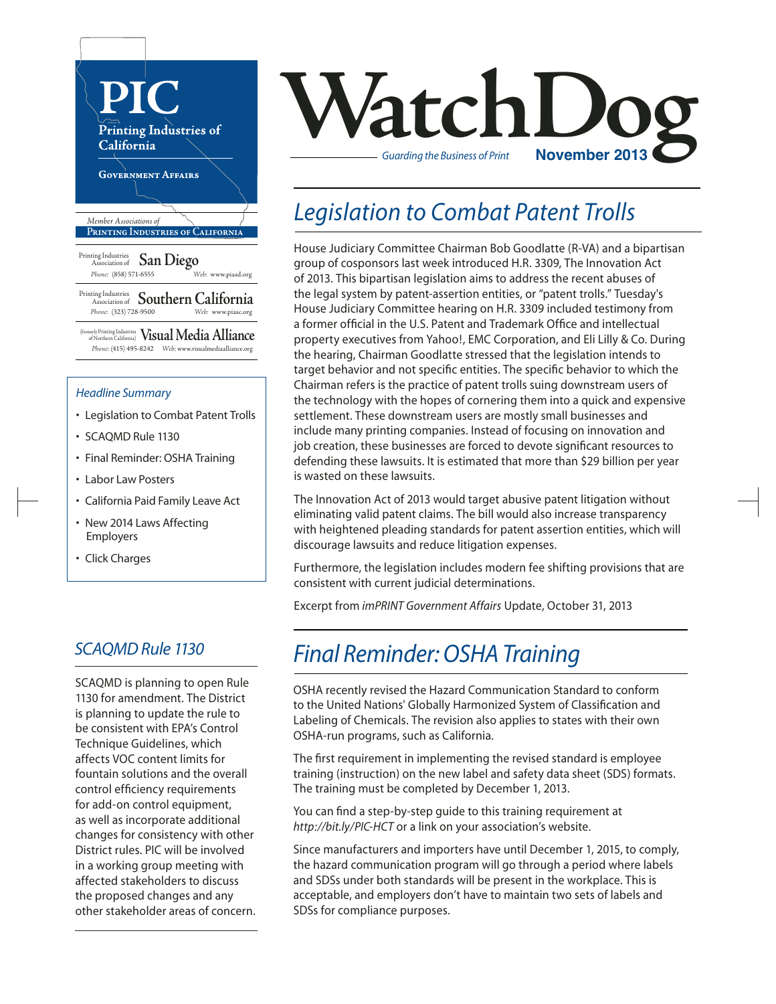

- SCAQMD Rule 1130
- Final Reminder: OSHA Training
- Labor Law Posters
- California Paid Family Leave Act
- New 2014 Laws Affecting Employers
- Click Charges

### *SCAQMD Rule 1130*

SCAQMD is planning to open Rule 1130 for amendment. The District is planning to update the rule to be consistent with EPA's Control Technique Guidelines, which affects VOC content limits for fountain solutions and the overall control efficiency requirements for add-on control equipment, as well as incorporate additional changes for consistency with other District rules. PIC will be involved in a working group meeting with affected stakeholders to discuss the proposed changes and any other stakeholder areas of concern.

# **Vatch Log Constant Construction** *Guarding the Business of Print*

### *Legislation to Combat Patent Trolls*

House Judiciary Committee Chairman Bob Goodlatte (R-VA) and a bipartisan group of cosponsors last week introduced H.R. 3309, The Innovation Act of 2013. This bipartisan legislation aims to address the recent abuses of the legal system by patent-assertion entities, or "patent trolls." Tuesday's House Judiciary Committee hearing on H.R. 3309 included testimony from a former official in the U.S. Patent and Trademark Office and intellectual property executives from Yahoo!, EMC Corporation, and Eli Lilly & Co. During the hearing, Chairman Goodlatte stressed that the legislation intends to target behavior and not specific entities. The specific behavior to which the Chairman refers is the practice of patent trolls suing downstream users of the technology with the hopes of cornering them into a quick and expensive settlement. These downstream users are mostly small businesses and include many printing companies. Instead of focusing on innovation and job creation, these businesses are forced to devote significant resources to defending these lawsuits. It is estimated that more than \$29 billion per year is wasted on these lawsuits.

The Innovation Act of 2013 would target abusive patent litigation without eliminating valid patent claims. The bill would also increase transparency with heightened pleading standards for patent assertion entities, which will discourage lawsuits and reduce litigation expenses.

Furthermore, the legislation includes modern fee shifting provisions that are consistent with current judicial determinations.

Excerpt from *imPRINT Government Affairs* Update, October 31, 2013

### *Final Reminder: OSHA Training*

OSHA recently revised the Hazard Communication Standard to conform to the United Nations' Globally Harmonized System of Classification and Labeling of Chemicals. The revision also applies to states with their own OSHA-run programs, such as California.

The first requirement in implementing the revised standard is employee training (instruction) on the new label and safety data sheet (SDS) formats. The training must be completed by December 1, 2013.

You can find a step-by-step guide to this training requirement at *http://bit.ly/PIC-HCT* or a link on your association's website.

Since manufacturers and importers have until December 1, 2015, to comply, the hazard communication program will go through a period where labels and SDSs under both standards will be present in the workplace. This is acceptable, and employers don't have to maintain two sets of labels and SDSs for compliance purposes.